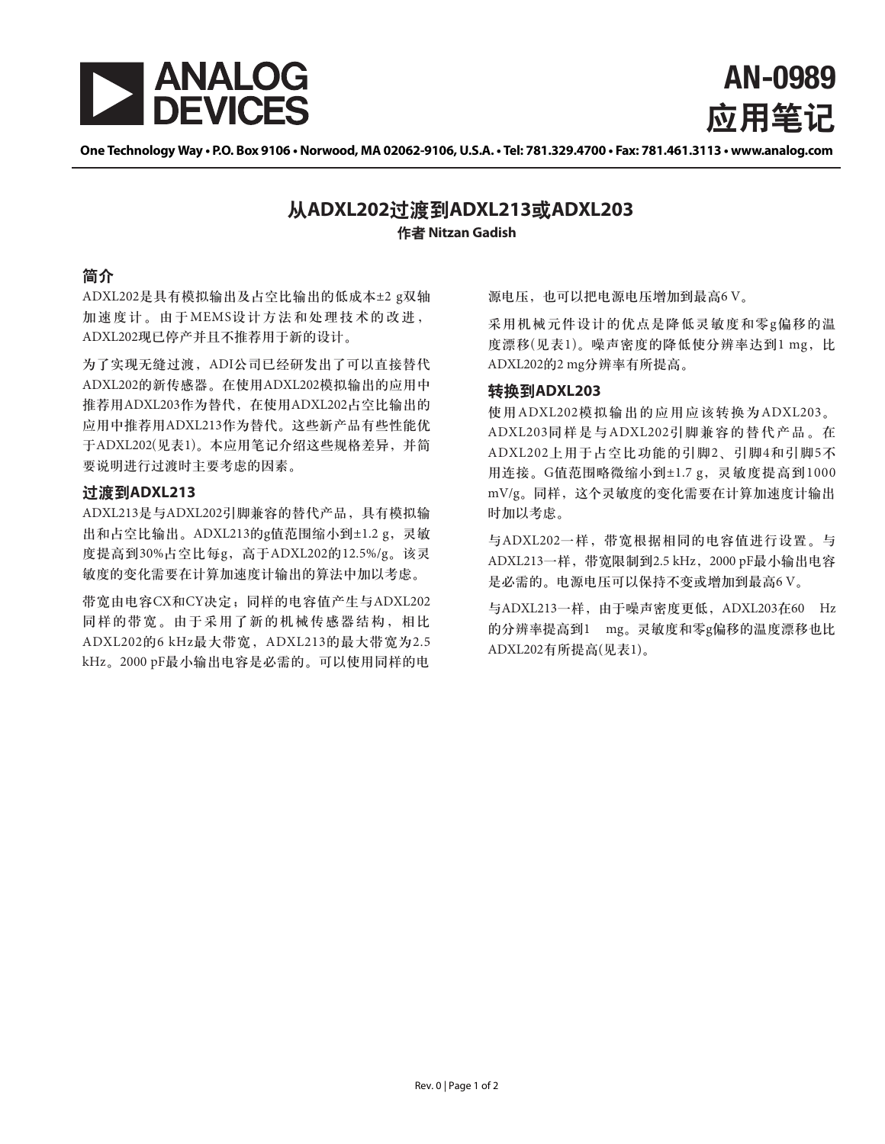

**AN-0989** 应用肇记

One Technology Way . P.O. Box 9106 . Norwood, MA 02062-9106, U.S.A. . Tel: 781.329.4700 . Fax: 781.461.3113 . www.analog.com

# 化者 Nitzan Gadish ٗ**ADXL202**ڟ܉ࡗ**ADXL213**ई**ADXL203**

## 简介

ADXL202是具有模拟输出及占空比输出的低成本±2 g双轴 加速度计。由于MEMS设计方法和处理技术的改进, ADXL202现已停产并且不推荐用于新的设计。

为了实现无缝过渡, ADI公司已经研发出了可以直接替代 ADXL202的新传感器。在使用ADXL202模拟输出的应用中 推荐用ADXL203作为替代, 在使用ADXL202占空比输出的 应用中推荐用ADXL213作为替代。这些新产品有些性能优 于ADXL202(见表1)。本应用笔记介绍这些规格差异, 并简 要说明进行过渡时主要考虑的因素。

### **过渡到ADXL213**

ADXL213是与ADXL202引脚兼容的替代产品, 具有模拟输 出和占空比输出。ADXL213的g值范围缩小到±1.2 g, 灵敏 度提高到30%占空比每g, 高于ADXL202的12.5%/g。该灵 敏度的变化需要在计算加速度计输出的算法中加以考虑。

带宽由电容CX和CY决定;同样的电容值产生与ADXL202 同样的带宽。由于采用了新的机械传感器结构,相比 ADXL202的6 kHz最大带宽, ADXL213的最大带宽为2.5 kHz。2000 pF最小输出电容是必需的。可以使用同样的电

源电压, 也可以把电源电压增加到最高6V。

采用机械元件设计的优点是降低灵敏度和零g偏移的温 度漂移(见表1)。噪声密度的降低使分辨率达到1 mg, 比 ADXL202的2 mg分辨率有所提高。

#### 转换到ADXL203

使用ADXL202模拟输出的应用应该转换为ADXL203。 ADXL203同样是与ADXL202引脚兼容的替代产品。在 ADXL202上用于占空比功能的引脚2、引脚4和引脚5不 用连接。G值范围略微缩小到±1.7g, 灵敏度提高到1000 mV/g。同样,这个灵敏度的变化需要在计算加速度计输出 时加以考虑。

与ADXL202一样, 带宽根据相同的电容值进行设置。与 ADXL213一样, 带宽限制到2.5 kHz, 2000 pF最小输出电容 是必需的。电源电压可以保持不变或增加到最高6 V。

与ADXL213一样, 由于噪声密度更低, ADXL203在60 Hz 的分辨率提高到1 mg。灵敏度和零g偏移的温度漂移也比 ADXL202有所提高(见表1)。